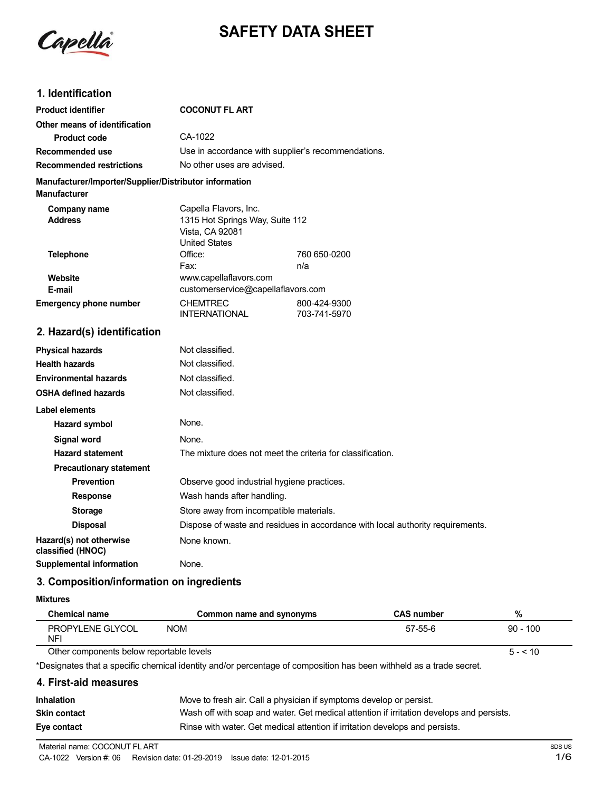

# **SAFETY DATA SHEET**

# **1. Identification**

| <b>Product identifier</b>                                                     | <b>COCONUT FL ART</b>                                                      |                              |
|-------------------------------------------------------------------------------|----------------------------------------------------------------------------|------------------------------|
| Other means of identification                                                 |                                                                            |                              |
| <b>Product code</b>                                                           | CA-1022                                                                    |                              |
| Recommended use                                                               | Use in accordance with supplier's recommendations.                         |                              |
| <b>Recommended restrictions</b>                                               | No other uses are advised.                                                 |                              |
| Manufacturer/Importer/Supplier/Distributor information<br><b>Manufacturer</b> |                                                                            |                              |
| Company name                                                                  | Capella Flavors, Inc.                                                      |                              |
| <b>Address</b>                                                                | 1315 Hot Springs Way, Suite 112<br>Vista, CA 92081<br><b>United States</b> |                              |
| <b>Telephone</b>                                                              | Office:                                                                    | 760 650-0200                 |
|                                                                               | Fax:                                                                       | n/a                          |
| Website                                                                       | www.capellaflavors.com                                                     |                              |
| E-mail                                                                        | customerservice@capellaflavors.com                                         |                              |
| <b>Emergency phone number</b>                                                 | <b>CHEMTREC</b><br><b>INTERNATIONAL</b>                                    | 800-424-9300<br>703-741-5970 |
| 2. Hazard(s) identification                                                   |                                                                            |                              |
| <b>Physical hazards</b>                                                       | Not classified.                                                            |                              |
| <b>Health hazards</b>                                                         | Not classified.                                                            |                              |
| <b>Environmental hazards</b>                                                  | Not classified.                                                            |                              |
| <b>OSHA defined hazards</b>                                                   | Not classified.                                                            |                              |
| <b>Label elements</b>                                                         |                                                                            |                              |
| Hazard symbol                                                                 | None.                                                                      |                              |
| <b>Signal word</b>                                                            | None.                                                                      |                              |
| <b>Hazard statement</b>                                                       | The mixture does not meet the criteria for classification.                 |                              |
| <b>Precautionary statement</b>                                                |                                                                            |                              |

**Prevention C** Observe good industrial hygiene practices. **Response** Wash hands after handling. **Storage** Store away from incompatible materials. **Disposal** Dispose of waste and residues in accordance with local authority requirements. **Hazard(s) not otherwise** None known.

## **3. Composition/information on ingredients**

**Supplemental information** None.

**Mixtures**

 $\overline{a}$ 

**classified (HNOC)**

| <b>Chemical name</b>                     | Common name and synonyms | <b>CAS number</b> | %          |
|------------------------------------------|--------------------------|-------------------|------------|
| PROPYLENE GLYCOL<br>NFI                  | <b>NOM</b>               | 57-55-6           | $90 - 100$ |
| Other components below reportable levels |                          | $5 - 510$         |            |

Other components below reportable levels

\*Designates that a specific chemical identity and/or percentage of composition has been withheld as a trade secret.

### **4. First-aid measures**

| <b>Inhalation</b>   | Move to fresh air. Call a physician if symptoms develop or persist.                      |
|---------------------|------------------------------------------------------------------------------------------|
| <b>Skin contact</b> | Wash off with soap and water. Get medical attention if irritation develops and persists. |
| Eye contact         | Rinse with water. Get medical attention if irritation develops and persists.             |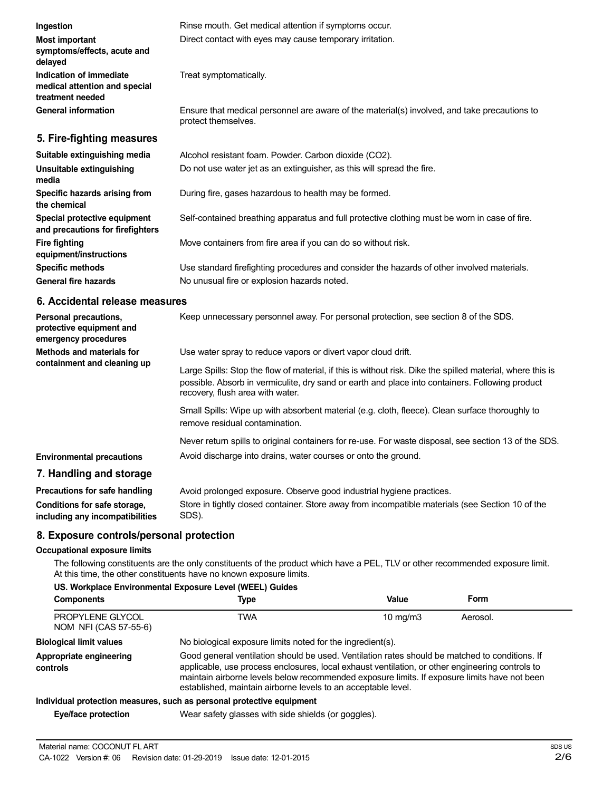| Ingestion                                                                    | Rinse mouth. Get medical attention if symptoms occur.                                                               |
|------------------------------------------------------------------------------|---------------------------------------------------------------------------------------------------------------------|
| <b>Most important</b><br>symptoms/effects, acute and<br>delayed              | Direct contact with eyes may cause temporary irritation.                                                            |
| Indication of immediate<br>medical attention and special<br>treatment needed | Treat symptomatically.                                                                                              |
| <b>General information</b>                                                   | Ensure that medical personnel are aware of the material(s) involved, and take precautions to<br>protect themselves. |
| 5. Fire-fighting measures                                                    |                                                                                                                     |
| Suitable extinguishing media                                                 | Alcohol resistant foam. Powder. Carbon dioxide (CO2).                                                               |
| Unsuitable extinguishing<br>media                                            | Do not use water jet as an extinguisher, as this will spread the fire.                                              |
|                                                                              |                                                                                                                     |

| Specific hazards arising from<br>the chemical                    | During fire, gases hazardous to health may be formed.                                         |
|------------------------------------------------------------------|-----------------------------------------------------------------------------------------------|
| Special protective equipment<br>and precautions for firefighters | Self-contained breathing apparatus and full protective clothing must be worn in case of fire. |
| Fire fighting<br>equipment/instructions                          | Move containers from fire area if you can do so without risk.                                 |
| <b>Specific methods</b>                                          | Use standard firefighting procedures and consider the hazards of other involved materials.    |
| General fire hazards                                             | No unusual fire or explosion hazards noted.                                                   |

#### **6. Accidental release measures**

| Personal precautions,<br>protective equipment and<br>emergency procedures | Keep unnecessary personnel away. For personal protection, see section 8 of the SDS.                                                                                                                                                               |
|---------------------------------------------------------------------------|---------------------------------------------------------------------------------------------------------------------------------------------------------------------------------------------------------------------------------------------------|
| Methods and materials for<br>containment and cleaning up                  | Use water spray to reduce vapors or divert vapor cloud drift.                                                                                                                                                                                     |
|                                                                           | Large Spills: Stop the flow of material, if this is without risk. Dike the spilled material, where this is<br>possible. Absorb in vermiculite, dry sand or earth and place into containers. Following product<br>recovery, flush area with water. |
|                                                                           | Small Spills: Wipe up with absorbent material (e.g. cloth, fleece). Clean surface thoroughly to<br>remove residual contamination.                                                                                                                 |
|                                                                           | Never return spills to original containers for re-use. For waste disposal, see section 13 of the SDS.                                                                                                                                             |
| <b>Environmental precautions</b>                                          | Avoid discharge into drains, water courses or onto the ground.                                                                                                                                                                                    |
| 7. Handling and storage                                                   |                                                                                                                                                                                                                                                   |
| Precautions for safe handling                                             | Avoid prolonged exposure. Observe good industrial hygiene practices.                                                                                                                                                                              |

#### **Conditions for safe storage, including any incompatibilities** Store in tightly closed container. Store away from incompatible materials (see Section 10 of the SDS).

# **8. Exposure controls/personal protection**

#### **Occupational exposure limits**

The following constituents are the only constituents of the product which have a PEL, TLV or other recommended exposure limit. At this time, the other constituents have no known exposure limits.

#### **US. Workplace Environmental Exposure Level (WEEL) Guides**

| <b>Components</b>                         | Type                                                                                                                                                                                                                                                                                                                                                               | Value             | Form     |
|-------------------------------------------|--------------------------------------------------------------------------------------------------------------------------------------------------------------------------------------------------------------------------------------------------------------------------------------------------------------------------------------------------------------------|-------------------|----------|
| PROPYLENE GLYCOL<br>NOM NFI (CAS 57-55-6) | TWA                                                                                                                                                                                                                                                                                                                                                                | $10 \text{ mg/m}$ | Aerosol. |
| <b>Biological limit values</b>            | No biological exposure limits noted for the ingredient(s).                                                                                                                                                                                                                                                                                                         |                   |          |
| Appropriate engineering<br>controls       | Good general ventilation should be used. Ventilation rates should be matched to conditions. If<br>applicable, use process enclosures, local exhaust ventilation, or other engineering controls to<br>maintain airborne levels below recommended exposure limits. If exposure limits have not been<br>established, maintain airborne levels to an acceptable level. |                   |          |
|                                           | Individual protection measures, such as personal protective equipment                                                                                                                                                                                                                                                                                              |                   |          |
| Eye/face protection                       | Wear safety glasses with side shields (or goggles).                                                                                                                                                                                                                                                                                                                |                   |          |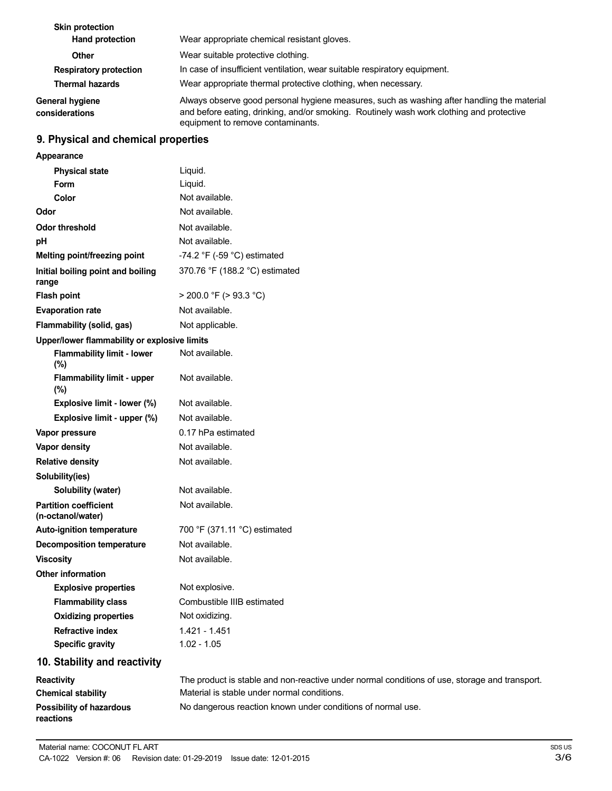| <b>Skin protection</b><br>Hand protection | Wear appropriate chemical resistant gloves.                                                                                                                                                                                 |  |
|-------------------------------------------|-----------------------------------------------------------------------------------------------------------------------------------------------------------------------------------------------------------------------------|--|
| Other                                     | Wear suitable protective clothing.                                                                                                                                                                                          |  |
| <b>Respiratory protection</b>             | In case of insufficient ventilation, wear suitable respiratory equipment.                                                                                                                                                   |  |
| <b>Thermal hazards</b>                    | Wear appropriate thermal protective clothing, when necessary.                                                                                                                                                               |  |
| <b>General hygiene</b><br>considerations  | Always observe good personal hygiene measures, such as washing after handling the material<br>and before eating, drinking, and/or smoking. Routinely wash work clothing and protective<br>equipment to remove contaminants. |  |

# **9. Physical and chemical properties**

| Appearance                                        |                                                                                               |
|---------------------------------------------------|-----------------------------------------------------------------------------------------------|
| <b>Physical state</b>                             | Liquid.                                                                                       |
| <b>Form</b>                                       | Liquid.                                                                                       |
| Color                                             | Not available.                                                                                |
| Odor                                              | Not available.                                                                                |
| <b>Odor threshold</b>                             | Not available.                                                                                |
| pH                                                | Not available.                                                                                |
| Melting point/freezing point                      | -74.2 $\degree$ F (-59 $\degree$ C) estimated                                                 |
| Initial boiling point and boiling<br>range        | 370.76 °F (188.2 °C) estimated                                                                |
| <b>Flash point</b>                                | $>$ 200.0 °F ( $>$ 93.3 °C)                                                                   |
| <b>Evaporation rate</b>                           | Not available.                                                                                |
| Flammability (solid, gas)                         | Not applicable.                                                                               |
| Upper/lower flammability or explosive limits      |                                                                                               |
| <b>Flammability limit - lower</b><br>(%)          | Not available.                                                                                |
| <b>Flammability limit - upper</b><br>(%)          | Not available.                                                                                |
| Explosive limit - lower (%)                       | Not available.                                                                                |
| Explosive limit - upper (%)                       | Not available.                                                                                |
| Vapor pressure                                    | 0.17 hPa estimated                                                                            |
| Vapor density                                     | Not available.                                                                                |
| <b>Relative density</b>                           | Not available.                                                                                |
| Solubility(ies)                                   |                                                                                               |
| Solubility (water)                                | Not available.                                                                                |
| <b>Partition coefficient</b><br>(n-octanol/water) | Not available.                                                                                |
| Auto-ignition temperature                         | 700 °F (371.11 °C) estimated                                                                  |
| <b>Decomposition temperature</b>                  | Not available.                                                                                |
| <b>Viscosity</b>                                  | Not available.                                                                                |
| <b>Other information</b>                          |                                                                                               |
| <b>Explosive properties</b>                       | Not explosive.                                                                                |
| <b>Flammability class</b>                         | Combustible IIIB estimated                                                                    |
| <b>Oxidizing properties</b>                       | Not oxidizing.                                                                                |
| <b>Refractive index</b>                           | 1.421 - 1.451                                                                                 |
| <b>Specific gravity</b>                           | $1.02 - 1.05$                                                                                 |
| 10. Stability and reactivity                      |                                                                                               |
| Reactivity                                        | The product is stable and non-reactive under normal conditions of use, storage and transport. |
| <b>Chemical stability</b>                         | Material is stable under normal conditions.                                                   |

No dangerous reaction known under conditions of normal use.

**Possibility of hazardous**

**reactions**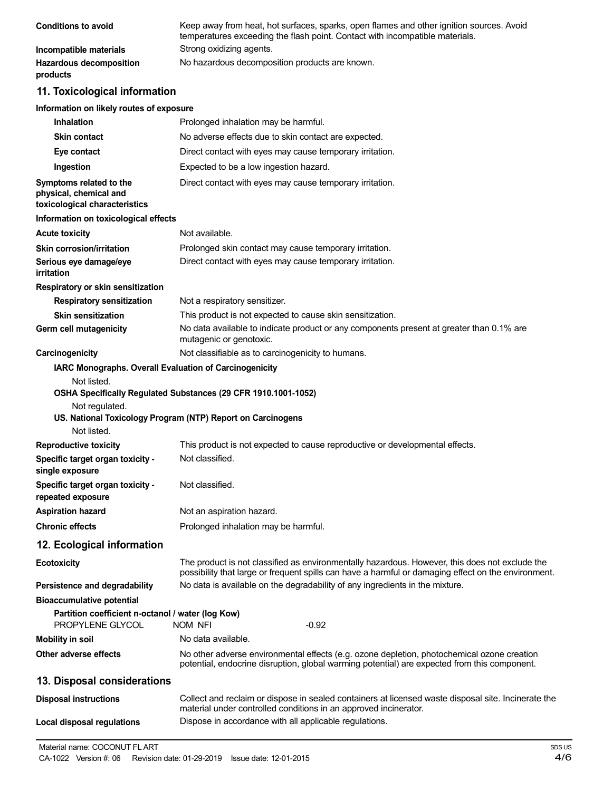| <b>Conditions to avoid</b>                 | Keep away from heat, hot surfaces, sparks, open flames and other ignition sources. Avoid<br>temperatures exceeding the flash point. Contact with incompatible materials. |
|--------------------------------------------|--------------------------------------------------------------------------------------------------------------------------------------------------------------------------|
| Incompatible materials                     | Strong oxidizing agents.                                                                                                                                                 |
| <b>Hazardous decomposition</b><br>products | No hazardous decomposition products are known.                                                                                                                           |

# **11. Toxicological information**

#### **Information on likely routes of exposure**

| <b>Inhalation</b>                                                                  | Prolonged inhalation may be harmful.                                                                                                                                                                  |
|------------------------------------------------------------------------------------|-------------------------------------------------------------------------------------------------------------------------------------------------------------------------------------------------------|
| <b>Skin contact</b>                                                                | No adverse effects due to skin contact are expected.                                                                                                                                                  |
| Eye contact                                                                        | Direct contact with eyes may cause temporary irritation.                                                                                                                                              |
| Ingestion                                                                          | Expected to be a low ingestion hazard.                                                                                                                                                                |
| Symptoms related to the<br>physical, chemical and<br>toxicological characteristics | Direct contact with eyes may cause temporary irritation.                                                                                                                                              |
| Information on toxicological effects                                               |                                                                                                                                                                                                       |
| <b>Acute toxicity</b>                                                              | Not available.                                                                                                                                                                                        |
| <b>Skin corrosion/irritation</b>                                                   | Prolonged skin contact may cause temporary irritation.                                                                                                                                                |
| Serious eye damage/eye<br>irritation                                               | Direct contact with eyes may cause temporary irritation.                                                                                                                                              |
| Respiratory or skin sensitization                                                  |                                                                                                                                                                                                       |
| <b>Respiratory sensitization</b>                                                   | Not a respiratory sensitizer.                                                                                                                                                                         |
| <b>Skin sensitization</b>                                                          | This product is not expected to cause skin sensitization.                                                                                                                                             |
| Germ cell mutagenicity                                                             | No data available to indicate product or any components present at greater than 0.1% are<br>mutagenic or genotoxic.                                                                                   |
| Carcinogenicity                                                                    | Not classifiable as to carcinogenicity to humans.                                                                                                                                                     |
| IARC Monographs. Overall Evaluation of Carcinogenicity                             |                                                                                                                                                                                                       |
| Not listed.<br>Not regulated.<br>Not listed.                                       | OSHA Specifically Regulated Substances (29 CFR 1910.1001-1052)<br>US. National Toxicology Program (NTP) Report on Carcinogens                                                                         |
| <b>Reproductive toxicity</b>                                                       | This product is not expected to cause reproductive or developmental effects.                                                                                                                          |
| Specific target organ toxicity -<br>single exposure                                | Not classified.                                                                                                                                                                                       |
| Specific target organ toxicity -<br>repeated exposure                              | Not classified.                                                                                                                                                                                       |
| <b>Aspiration hazard</b>                                                           | Not an aspiration hazard.                                                                                                                                                                             |
| <b>Chronic effects</b>                                                             | Prolonged inhalation may be harmful.                                                                                                                                                                  |
| 12. Ecological information                                                         |                                                                                                                                                                                                       |
| <b>Ecotoxicity</b>                                                                 | The product is not classified as environmentally hazardous. However, this does not exclude the<br>possibility that large or frequent spills can have a harmful or damaging effect on the environment. |
| Persistence and degradability                                                      | No data is available on the degradability of any ingredients in the mixture.                                                                                                                          |
| <b>Bioaccumulative potential</b>                                                   |                                                                                                                                                                                                       |
| Partition coefficient n-octanol / water (log Kow)<br>PROPYLENE GLYCOL              | $-0.92$<br>NOM NFI                                                                                                                                                                                    |
| <b>Mobility in soil</b>                                                            | No data available.                                                                                                                                                                                    |
| Other adverse effects                                                              | No other adverse environmental effects (e.g. ozone depletion, photochemical ozone creation<br>potential, endocrine disruption, global warming potential) are expected from this component.            |
| 13. Disposal considerations                                                        |                                                                                                                                                                                                       |
| <b>Disposal instructions</b>                                                       | Collect and reclaim or dispose in sealed containers at licensed waste disposal site. Incinerate the<br>material under controlled conditions in an approved incinerator.                               |
| <b>Local disposal regulations</b>                                                  | Dispose in accordance with all applicable regulations.                                                                                                                                                |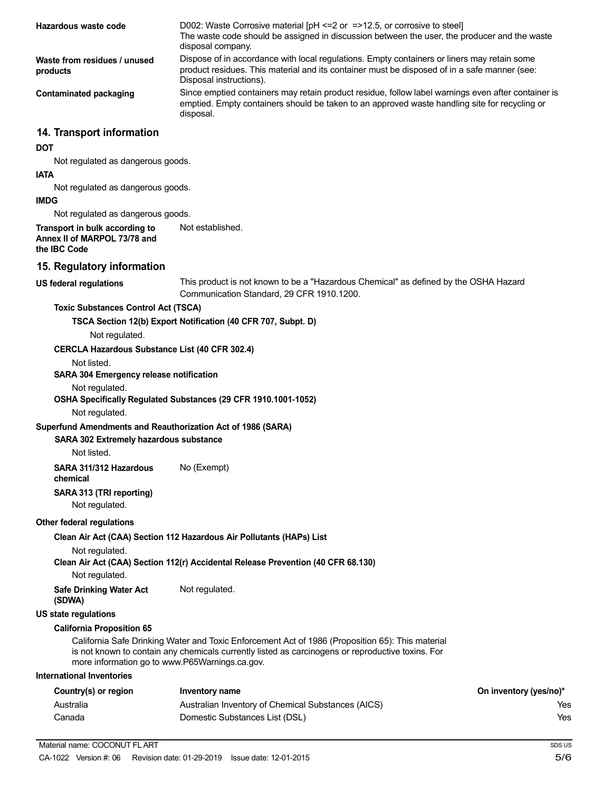| Hazardous waste code                                                               | D002: Waste Corrosive material $[PH \le 2$ or $= >12.5$ , or corrosive to steel<br>The waste code should be assigned in discussion between the user, the producer and the waste<br>disposal company.                   |                        |
|------------------------------------------------------------------------------------|------------------------------------------------------------------------------------------------------------------------------------------------------------------------------------------------------------------------|------------------------|
| Waste from residues / unused<br>products                                           | Dispose of in accordance with local regulations. Empty containers or liners may retain some<br>product residues. This material and its container must be disposed of in a safe manner (see:<br>Disposal instructions). |                        |
| <b>Contaminated packaging</b>                                                      | Since emptied containers may retain product residue, follow label warnings even after container is<br>emptied. Empty containers should be taken to an approved waste handling site for recycling or<br>disposal.       |                        |
| 14. Transport information                                                          |                                                                                                                                                                                                                        |                        |
| <b>DOT</b>                                                                         |                                                                                                                                                                                                                        |                        |
| Not regulated as dangerous goods.                                                  |                                                                                                                                                                                                                        |                        |
| <b>IATA</b>                                                                        |                                                                                                                                                                                                                        |                        |
| Not regulated as dangerous goods.<br><b>IMDG</b>                                   |                                                                                                                                                                                                                        |                        |
| Not regulated as dangerous goods.                                                  |                                                                                                                                                                                                                        |                        |
| Transport in bulk according to<br>Annex II of MARPOL 73/78 and<br>the IBC Code     | Not established.                                                                                                                                                                                                       |                        |
| 15. Regulatory information                                                         |                                                                                                                                                                                                                        |                        |
| <b>US federal regulations</b>                                                      | This product is not known to be a "Hazardous Chemical" as defined by the OSHA Hazard<br>Communication Standard, 29 CFR 1910.1200.                                                                                      |                        |
| <b>Toxic Substances Control Act (TSCA)</b>                                         |                                                                                                                                                                                                                        |                        |
| Not regulated.                                                                     | TSCA Section 12(b) Export Notification (40 CFR 707, Subpt. D)                                                                                                                                                          |                        |
| <b>CERCLA Hazardous Substance List (40 CFR 302.4)</b>                              |                                                                                                                                                                                                                        |                        |
| Not listed.                                                                        |                                                                                                                                                                                                                        |                        |
| SARA 304 Emergency release notification                                            |                                                                                                                                                                                                                        |                        |
| Not regulated.                                                                     |                                                                                                                                                                                                                        |                        |
|                                                                                    | OSHA Specifically Regulated Substances (29 CFR 1910.1001-1052)                                                                                                                                                         |                        |
| Not regulated.                                                                     |                                                                                                                                                                                                                        |                        |
| Superfund Amendments and Reauthorization Act of 1986 (SARA)                        |                                                                                                                                                                                                                        |                        |
| SARA 302 Extremely hazardous substance                                             |                                                                                                                                                                                                                        |                        |
| Not listed.                                                                        |                                                                                                                                                                                                                        |                        |
| SARA 311/312 Hazardous<br>chemical                                                 | No (Exempt)                                                                                                                                                                                                            |                        |
| SARA 313 (TRI reporting)<br>Not regulated.                                         |                                                                                                                                                                                                                        |                        |
| Other federal regulations                                                          |                                                                                                                                                                                                                        |                        |
|                                                                                    | Clean Air Act (CAA) Section 112 Hazardous Air Pollutants (HAPs) List                                                                                                                                                   |                        |
| Not regulated.                                                                     |                                                                                                                                                                                                                        |                        |
|                                                                                    | Clean Air Act (CAA) Section 112(r) Accidental Release Prevention (40 CFR 68.130)                                                                                                                                       |                        |
| Not regulated.                                                                     |                                                                                                                                                                                                                        |                        |
| <b>Safe Drinking Water Act</b><br>(SDWA)                                           | Not regulated.                                                                                                                                                                                                         |                        |
| <b>US state regulations</b>                                                        |                                                                                                                                                                                                                        |                        |
| <b>California Proposition 65</b><br>more information go to www.P65Warnings.ca.gov. | California Safe Drinking Water and Toxic Enforcement Act of 1986 (Proposition 65): This material<br>is not known to contain any chemicals currently listed as carcinogens or reproductive toxins. For                  |                        |
| <b>International Inventories</b>                                                   |                                                                                                                                                                                                                        |                        |
| Country(s) or region                                                               | <b>Inventory name</b>                                                                                                                                                                                                  | On inventory (yes/no)* |
| Australia                                                                          | Australian Inventory of Chemical Substances (AICS)                                                                                                                                                                     | Yes                    |
| Canada                                                                             | Domestic Substances List (DSL)                                                                                                                                                                                         | Yes                    |